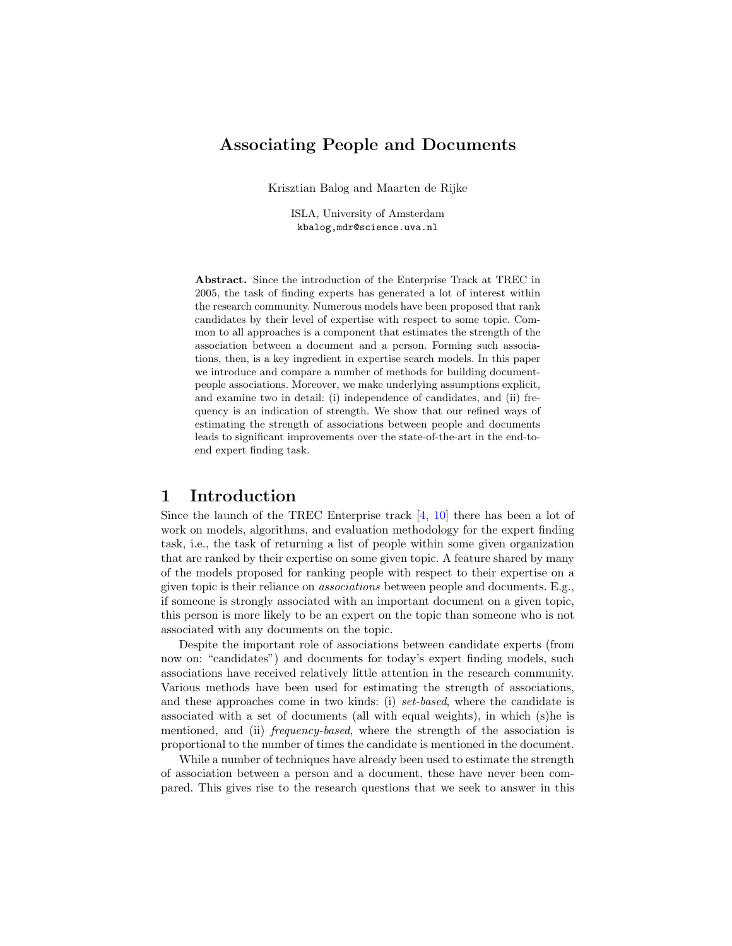# Associating People and Documents

Krisztian Balog and Maarten de Rijke

ISLA, University of Amsterdam kbalog,mdr@science.uva.nl

Abstract. Since the introduction of the Enterprise Track at TREC in 2005, the task of finding experts has generated a lot of interest within the research community. Numerous models have been proposed that rank candidates by their level of expertise with respect to some topic. Common to all approaches is a component that estimates the strength of the association between a document and a person. Forming such associations, then, is a key ingredient in expertise search models. In this paper we introduce and compare a number of methods for building documentpeople associations. Moreover, we make underlying assumptions explicit, and examine two in detail: (i) independence of candidates, and (ii) frequency is an indication of strength. We show that our refined ways of estimating the strength of associations between people and documents leads to significant improvements over the state-of-the-art in the end-toend expert finding task.

## 1 Introduction

Since the launch of the TREC Enterprise track  $[4, 10]$  $[4, 10]$  $[4, 10]$  there has been a lot of work on models, algorithms, and evaluation methodology for the expert finding task, i.e., the task of returning a list of people within some given organization that are ranked by their expertise on some given topic. A feature shared by many of the models proposed for ranking people with respect to their expertise on a given topic is their reliance on associations between people and documents. E.g., if someone is strongly associated with an important document on a given topic, this person is more likely to be an expert on the topic than someone who is not associated with any documents on the topic.

Despite the important role of associations between candidate experts (from now on: "candidates") and documents for today's expert finding models, such associations have received relatively little attention in the research community. Various methods have been used for estimating the strength of associations, and these approaches come in two kinds: (i) set-based, where the candidate is associated with a set of documents (all with equal weights), in which (s)he is mentioned, and (ii) *frequency-based*, where the strength of the association is proportional to the number of times the candidate is mentioned in the document.

While a number of techniques have already been used to estimate the strength of association between a person and a document, these have never been compared. This gives rise to the research questions that we seek to answer in this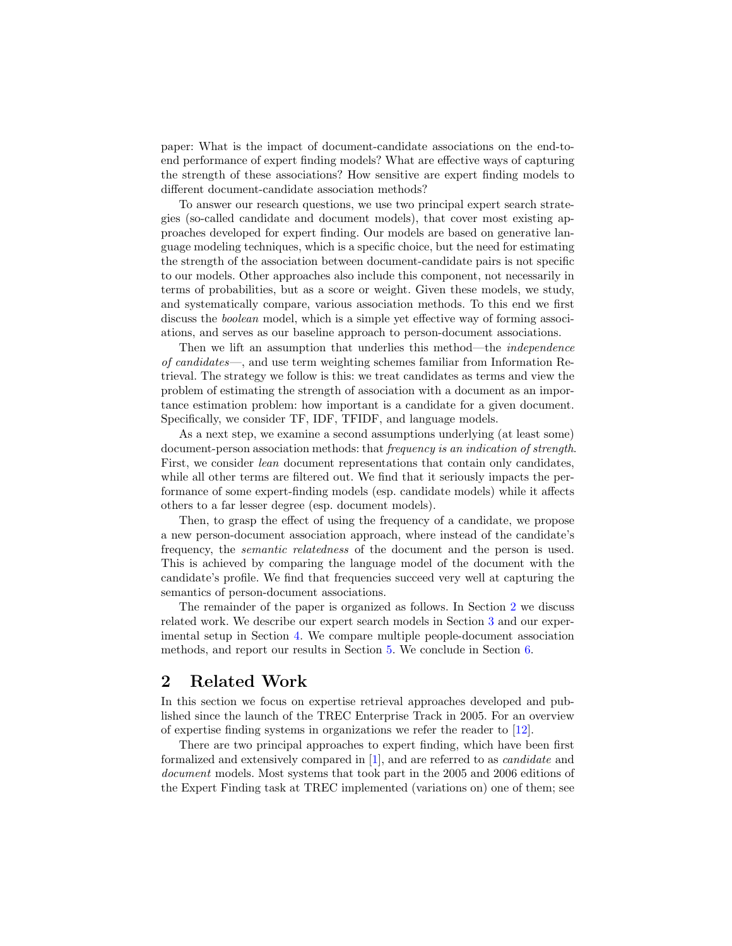paper: What is the impact of document-candidate associations on the end-toend performance of expert finding models? What are effective ways of capturing the strength of these associations? How sensitive are expert finding models to different document-candidate association methods?

To answer our research questions, we use two principal expert search strategies (so-called candidate and document models), that cover most existing approaches developed for expert finding. Our models are based on generative language modeling techniques, which is a specific choice, but the need for estimating the strength of the association between document-candidate pairs is not specific to our models. Other approaches also include this component, not necessarily in terms of probabilities, but as a score or weight. Given these models, we study, and systematically compare, various association methods. To this end we first discuss the *boolean* model, which is a simple yet effective way of forming associations, and serves as our baseline approach to person-document associations.

Then we lift an assumption that underlies this method—the independence of candidates—, and use term weighting schemes familiar from Information Retrieval. The strategy we follow is this: we treat candidates as terms and view the problem of estimating the strength of association with a document as an importance estimation problem: how important is a candidate for a given document. Specifically, we consider TF, IDF, TFIDF, and language models.

As a next step, we examine a second assumptions underlying (at least some) document-person association methods: that *frequency is an indication of strength*. First, we consider lean document representations that contain only candidates, while all other terms are filtered out. We find that it seriously impacts the performance of some expert-finding models (esp. candidate models) while it affects others to a far lesser degree (esp. document models).

Then, to grasp the effect of using the frequency of a candidate, we propose a new person-document association approach, where instead of the candidate's frequency, the semantic relatedness of the document and the person is used. This is achieved by comparing the language model of the document with the candidate's profile. We find that frequencies succeed very well at capturing the semantics of person-document associations.

The remainder of the paper is organized as follows. In Section [2](#page-1-0) we discuss related work. We describe our expert search models in Section [3](#page-2-0) and our experimental setup in Section [4.](#page-4-0) We compare multiple people-document association methods, and report our results in Section [5.](#page-5-0) We conclude in Section [6.](#page-10-0)

## <span id="page-1-0"></span>2 Related Work

In this section we focus on expertise retrieval approaches developed and published since the launch of the TREC Enterprise Track in 2005. For an overview of expertise finding systems in organizations we refer the reader to [\[12\]](#page-11-2).

There are two principal approaches to expert finding, which have been first formalized and extensively compared in [\[1\]](#page-11-3), and are referred to as candidate and document models. Most systems that took part in the 2005 and 2006 editions of the Expert Finding task at TREC implemented (variations on) one of them; see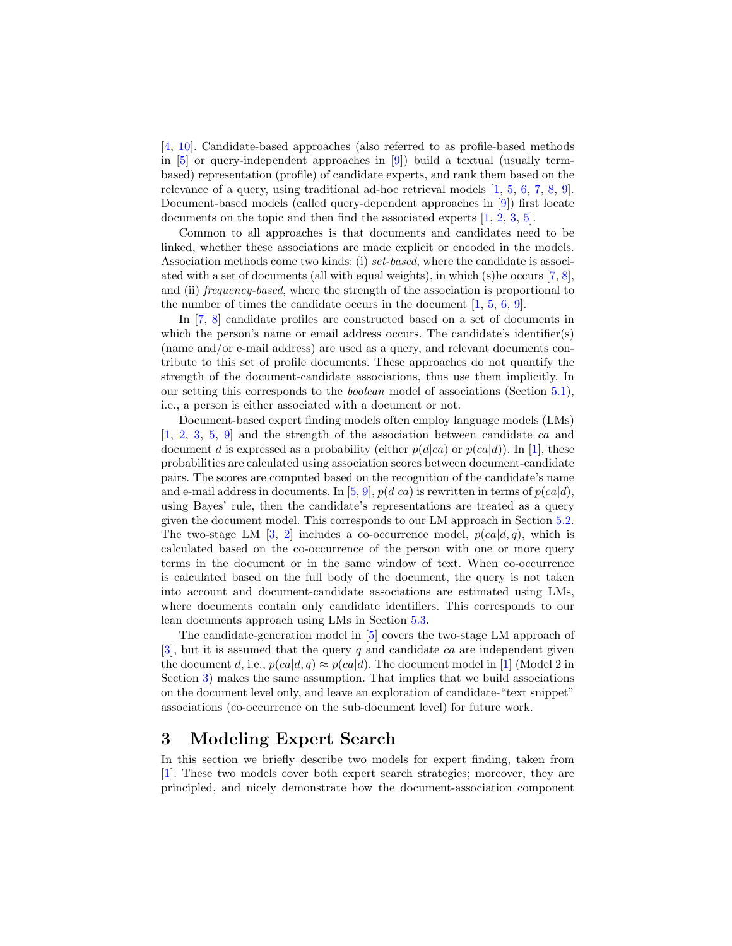[\[4,](#page-11-0) [10\]](#page-11-1). Candidate-based approaches (also referred to as profile-based methods in  $[5]$  or query-independent approaches in  $[9]$ ) build a textual (usually termbased) representation (profile) of candidate experts, and rank them based on the relevance of a query, using traditional ad-hoc retrieval models [\[1,](#page-11-3) [5,](#page-11-4) [6,](#page-11-6) [7,](#page-11-7) [8,](#page-11-8) [9\]](#page-11-5). Document-based models (called query-dependent approaches in [\[9\]](#page-11-5)) first locate documents on the topic and then find the associated experts [\[1,](#page-11-3) [2,](#page-11-9) [3,](#page-11-10) [5\]](#page-11-4).

Common to all approaches is that documents and candidates need to be linked, whether these associations are made explicit or encoded in the models. Association methods come two kinds: (i) set-based, where the candidate is associated with a set of documents (all with equal weights), in which (s)he occurs [\[7,](#page-11-7) [8\]](#page-11-8), and (ii) *frequency-based*, where the strength of the association is proportional to the number of times the candidate occurs in the document  $[1, 5, 6, 9]$  $[1, 5, 6, 9]$  $[1, 5, 6, 9]$  $[1, 5, 6, 9]$  $[1, 5, 6, 9]$  $[1, 5, 6, 9]$  $[1, 5, 6, 9]$ .

In [\[7,](#page-11-7) [8\]](#page-11-8) candidate profiles are constructed based on a set of documents in which the person's name or email address occurs. The candidate's identifier(s) (name and/or e-mail address) are used as a query, and relevant documents contribute to this set of profile documents. These approaches do not quantify the strength of the document-candidate associations, thus use them implicitly. In our setting this corresponds to the boolean model of associations (Section [5.1\)](#page-5-1), i.e., a person is either associated with a document or not.

Document-based expert finding models often employ language models (LMs) [\[1,](#page-11-3) [2,](#page-11-9) [3,](#page-11-10) [5,](#page-11-4) [9\]](#page-11-5) and the strength of the association between candidate ca and document d is expressed as a probability (either  $p(d|ca)$  or  $p(ca|d)$ ). In [\[1\]](#page-11-3), these probabilities are calculated using association scores between document-candidate pairs. The scores are computed based on the recognition of the candidate's name and e-mail address in documents. In [\[5,](#page-11-4) [9\]](#page-11-5),  $p(d|ca)$  is rewritten in terms of  $p(ca|d)$ , using Bayes' rule, then the candidate's representations are treated as a query given the document model. This corresponds to our LM approach in Section [5.2.](#page-6-0) The two-stage LM [\[3,](#page-11-10) [2\]](#page-11-9) includes a co-occurrence model,  $p(ca|d, q)$ , which is calculated based on the co-occurrence of the person with one or more query terms in the document or in the same window of text. When co-occurrence is calculated based on the full body of the document, the query is not taken into account and document-candidate associations are estimated using LMs, where documents contain only candidate identifiers. This corresponds to our lean documents approach using LMs in Section [5.3.](#page-8-0)

The candidate-generation model in [\[5\]](#page-11-4) covers the two-stage LM approach of  $[3]$ , but it is assumed that the query q and candidate ca are independent given the document d, i.e.,  $p(ca|d, q) \approx p(ca|d)$ . The document model in [\[1\]](#page-11-3) (Model 2 in Section [3\)](#page-2-0) makes the same assumption. That implies that we build associations on the document level only, and leave an exploration of candidate-"text snippet" associations (co-occurrence on the sub-document level) for future work.

## <span id="page-2-0"></span>3 Modeling Expert Search

In this section we briefly describe two models for expert finding, taken from [\[1\]](#page-11-3). These two models cover both expert search strategies; moreover, they are principled, and nicely demonstrate how the document-association component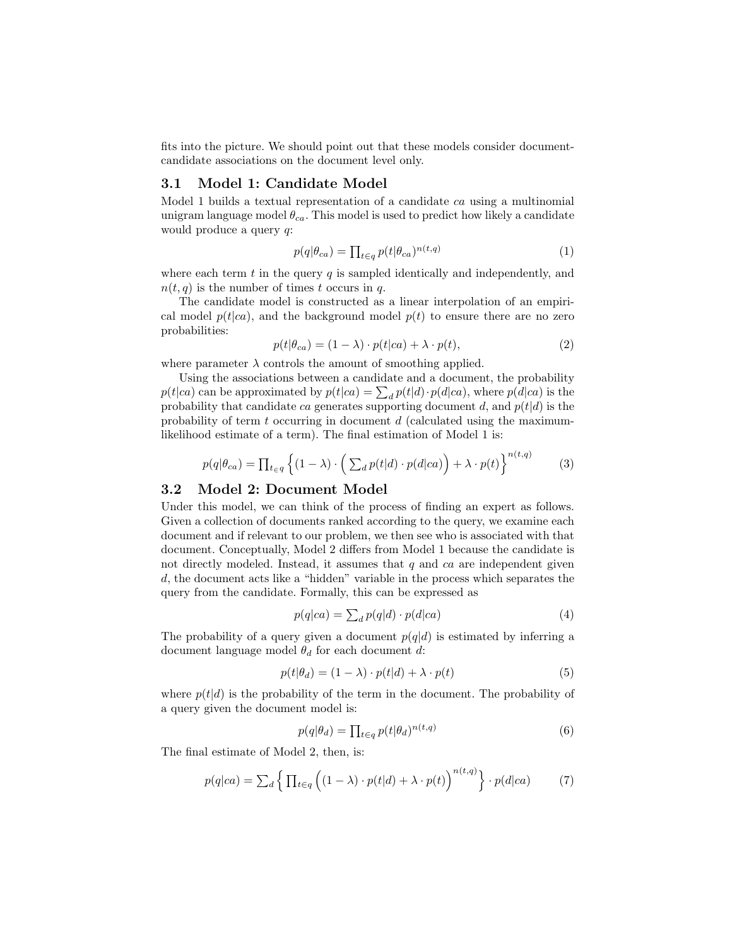fits into the picture. We should point out that these models consider documentcandidate associations on the document level only.

### 3.1 Model 1: Candidate Model

Model 1 builds a textual representation of a candidate ca using a multinomial unigram language model  $\theta_{ca}$ . This model is used to predict how likely a candidate would produce a query q:

$$
p(q|\theta_{ca}) = \prod_{t \in q} p(t|\theta_{ca})^{n(t,q)}
$$
\n(1)

where each term  $t$  in the query  $q$  is sampled identically and independently, and  $n(t, q)$  is the number of times t occurs in q.

The candidate model is constructed as a linear interpolation of an empirical model  $p(t|ca)$ , and the background model  $p(t)$  to ensure there are no zero probabilities:

$$
p(t|\theta_{ca}) = (1 - \lambda) \cdot p(t|ca) + \lambda \cdot p(t), \qquad (2)
$$

where parameter  $\lambda$  controls the amount of smoothing applied.

Using the associations between a candidate and a document, the probability  $p(t|ca)$  can be approximated by  $p(t|ca) = \sum_d p(t|d) \cdot p(d|ca)$ , where  $p(d|ca)$  is the probability that candidate ca generates supporting document d, and  $p(t|d)$  is the probability of term  $t$  occurring in document  $d$  (calculated using the maximumlikelihood estimate of a term). The final estimation of Model 1 is:

<span id="page-3-1"></span>
$$
p(q|\theta_{ca}) = \prod_{t \in q} \left\{ (1-\lambda) \cdot \left( \sum_{d} p(t|d) \cdot p(d|ca) \right) + \lambda \cdot p(t) \right\}^{n(t,q)} \tag{3}
$$

### 3.2 Model 2: Document Model

Under this model, we can think of the process of finding an expert as follows. Given a collection of documents ranked according to the query, we examine each document and if relevant to our problem, we then see who is associated with that document. Conceptually, Model 2 differs from Model 1 because the candidate is not directly modeled. Instead, it assumes that  $q$  and  $ca$  are independent given d, the document acts like a "hidden" variable in the process which separates the query from the candidate. Formally, this can be expressed as

$$
p(q|ca) = \sum_{d} p(q|d) \cdot p(d|ca)
$$
\n(4)

The probability of a query given a document  $p(q|d)$  is estimated by inferring a document language model  $\theta_d$  for each document d:

<span id="page-3-0"></span>
$$
p(t|\theta_d) = (1 - \lambda) \cdot p(t|d) + \lambda \cdot p(t)
$$
\n(5)

where  $p(t|d)$  is the probability of the term in the document. The probability of a query given the document model is:

$$
p(q|\theta_d) = \prod_{t \in q} p(t|\theta_d)^{n(t,q)} \tag{6}
$$

The final estimate of Model 2, then, is:

$$
p(q|ca) = \sum_{d} \left\{ \prod_{t \in q} \left( (1 - \lambda) \cdot p(t|d) + \lambda \cdot p(t) \right)^{n(t,q)} \right\} \cdot p(d|ca) \tag{7}
$$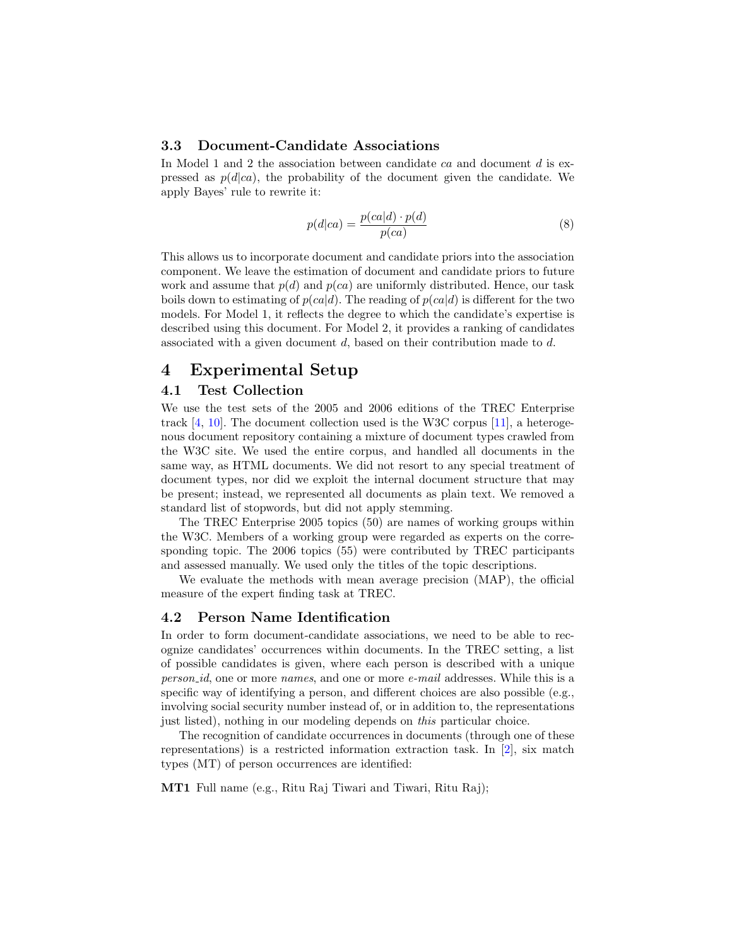### 3.3 Document-Candidate Associations

In Model 1 and 2 the association between candidate ca and document d is expressed as  $p(d|ca)$ , the probability of the document given the candidate. We apply Bayes' rule to rewrite it:

$$
p(d|ca) = \frac{p(ca|d) \cdot p(d)}{p(ca)}
$$
\n(8)

This allows us to incorporate document and candidate priors into the association component. We leave the estimation of document and candidate priors to future work and assume that  $p(d)$  and  $p(ca)$  are uniformly distributed. Hence, our task boils down to estimating of  $p(ca|d)$ . The reading of  $p(ca|d)$  is different for the two models. For Model 1, it reflects the degree to which the candidate's expertise is described using this document. For Model 2, it provides a ranking of candidates associated with a given document  $d$ , based on their contribution made to  $d$ .

# <span id="page-4-0"></span>4 Experimental Setup

### 4.1 Test Collection

We use the test sets of the 2005 and 2006 editions of the TREC Enterprise track [\[4,](#page-11-0) [10\]](#page-11-1). The document collection used is the W3C corpus [\[11\]](#page-11-11), a heterogenous document repository containing a mixture of document types crawled from the W3C site. We used the entire corpus, and handled all documents in the same way, as HTML documents. We did not resort to any special treatment of document types, nor did we exploit the internal document structure that may be present; instead, we represented all documents as plain text. We removed a standard list of stopwords, but did not apply stemming.

The TREC Enterprise 2005 topics (50) are names of working groups within the W3C. Members of a working group were regarded as experts on the corresponding topic. The 2006 topics (55) were contributed by TREC participants and assessed manually. We used only the titles of the topic descriptions.

We evaluate the methods with mean average precision (MAP), the official measure of the expert finding task at TREC.

#### 4.2 Person Name Identification

In order to form document-candidate associations, we need to be able to recognize candidates' occurrences within documents. In the TREC setting, a list of possible candidates is given, where each person is described with a unique person id, one or more names, and one or more e-mail addresses. While this is a specific way of identifying a person, and different choices are also possible (e.g., involving social security number instead of, or in addition to, the representations just listed), nothing in our modeling depends on this particular choice.

The recognition of candidate occurrences in documents (through one of these representations) is a restricted information extraction task. In [\[2\]](#page-11-9), six match types (MT) of person occurrences are identified:

MT1 Full name (e.g., Ritu Raj Tiwari and Tiwari, Ritu Raj);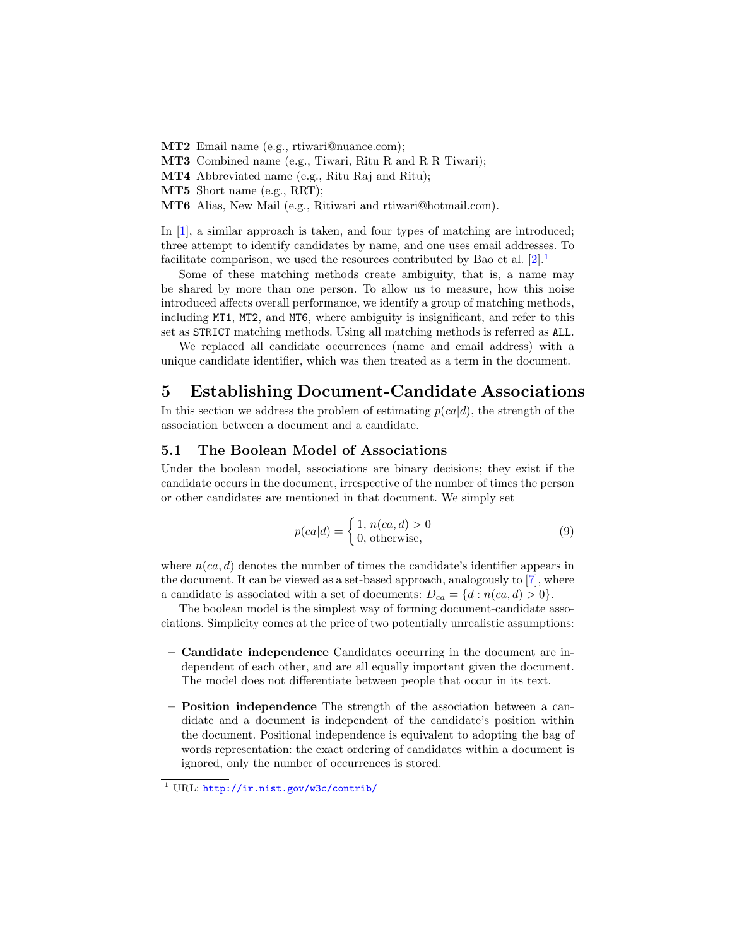MT2 Email name (e.g., rtiwari@nuance.com);

MT3 Combined name (e.g., Tiwari, Ritu R and R R Tiwari);

MT4 Abbreviated name (e.g., Ritu Raj and Ritu);

MT5 Short name (e.g., RRT);

MT6 Alias, New Mail (e.g., Ritiwari and rtiwari@hotmail.com).

In [\[1\]](#page-11-3), a similar approach is taken, and four types of matching are introduced; three attempt to identify candidates by name, and one uses email addresses. To facilitate comparison, we used the resources contributed by Bao et al.  $[2].<sup>1</sup>$  $[2].<sup>1</sup>$  $[2].<sup>1</sup>$  $[2].<sup>1</sup>$ 

Some of these matching methods create ambiguity, that is, a name may be shared by more than one person. To allow us to measure, how this noise introduced affects overall performance, we identify a group of matching methods, including MT1, MT2, and MT6, where ambiguity is insignificant, and refer to this set as STRICT matching methods. Using all matching methods is referred as ALL.

We replaced all candidate occurrences (name and email address) with a unique candidate identifier, which was then treated as a term in the document.

# <span id="page-5-0"></span>5 Establishing Document-Candidate Associations

In this section we address the problem of estimating  $p(ca|d)$ , the strength of the association between a document and a candidate.

#### <span id="page-5-1"></span>5.1 The Boolean Model of Associations

Under the boolean model, associations are binary decisions; they exist if the candidate occurs in the document, irrespective of the number of times the person or other candidates are mentioned in that document. We simply set

$$
p(ca|d) = \begin{cases} 1, n(ca, d) > 0\\ 0, \text{otherwise}, \end{cases}
$$
 (9)

where  $n(ca, d)$  denotes the number of times the candidate's identifier appears in the document. It can be viewed as a set-based approach, analogously to [\[7\]](#page-11-7), where a candidate is associated with a set of documents:  $D_{ca} = \{d : n(ca, d) > 0\}.$ 

The boolean model is the simplest way of forming document-candidate associations. Simplicity comes at the price of two potentially unrealistic assumptions:

- Candidate independence Candidates occurring in the document are independent of each other, and are all equally important given the document. The model does not differentiate between people that occur in its text.
- Position independence The strength of the association between a candidate and a document is independent of the candidate's position within the document. Positional independence is equivalent to adopting the bag of words representation: the exact ordering of candidates within a document is ignored, only the number of occurrences is stored.

<span id="page-5-2"></span><sup>1</sup> URL: <http://ir.nist.gov/w3c/contrib/>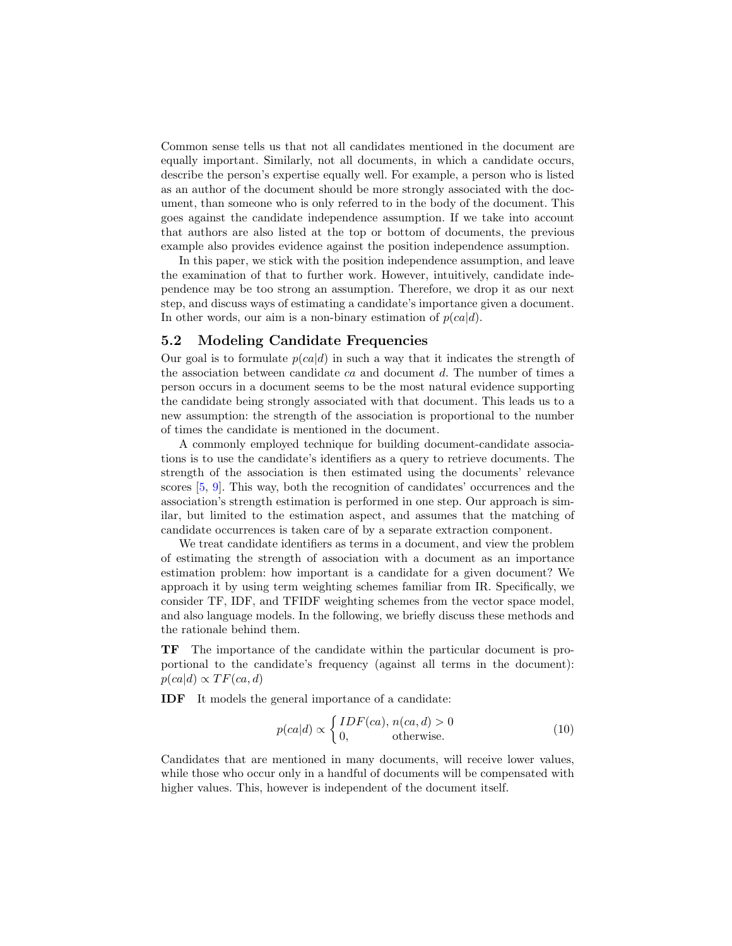Common sense tells us that not all candidates mentioned in the document are equally important. Similarly, not all documents, in which a candidate occurs, describe the person's expertise equally well. For example, a person who is listed as an author of the document should be more strongly associated with the document, than someone who is only referred to in the body of the document. This goes against the candidate independence assumption. If we take into account that authors are also listed at the top or bottom of documents, the previous example also provides evidence against the position independence assumption.

In this paper, we stick with the position independence assumption, and leave the examination of that to further work. However, intuitively, candidate independence may be too strong an assumption. Therefore, we drop it as our next step, and discuss ways of estimating a candidate's importance given a document. In other words, our aim is a non-binary estimation of  $p(ca|d)$ .

### <span id="page-6-0"></span>5.2 Modeling Candidate Frequencies

Our goal is to formulate  $p(ca|d)$  in such a way that it indicates the strength of the association between candidate  $ca$  and document  $d$ . The number of times a person occurs in a document seems to be the most natural evidence supporting the candidate being strongly associated with that document. This leads us to a new assumption: the strength of the association is proportional to the number of times the candidate is mentioned in the document.

A commonly employed technique for building document-candidate associations is to use the candidate's identifiers as a query to retrieve documents. The strength of the association is then estimated using the documents' relevance scores [\[5,](#page-11-4) [9\]](#page-11-5). This way, both the recognition of candidates' occurrences and the association's strength estimation is performed in one step. Our approach is similar, but limited to the estimation aspect, and assumes that the matching of candidate occurrences is taken care of by a separate extraction component.

We treat candidate identifiers as terms in a document, and view the problem of estimating the strength of association with a document as an importance estimation problem: how important is a candidate for a given document? We approach it by using term weighting schemes familiar from IR. Specifically, we consider TF, IDF, and TFIDF weighting schemes from the vector space model, and also language models. In the following, we briefly discuss these methods and the rationale behind them.

TF The importance of the candidate within the particular document is proportional to the candidate's frequency (against all terms in the document):  $p(ca|d) \propto TF(ca, d)$ 

IDF It models the general importance of a candidate:

<span id="page-6-1"></span>
$$
p(ca|d) \propto \begin{cases} IDF(ca), n(ca, d) > 0\\ 0, \qquad \text{otherwise.} \end{cases}
$$
 (10)

Candidates that are mentioned in many documents, will receive lower values, while those who occur only in a handful of documents will be compensated with higher values. This, however is independent of the document itself.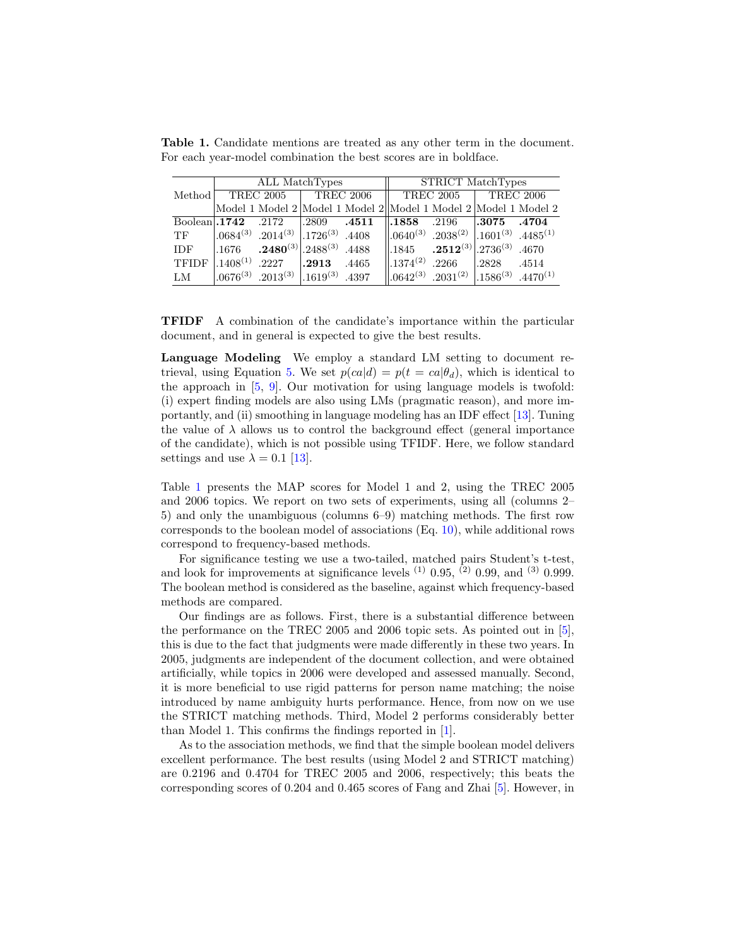|                  |                  | ALL MatchTypes                                                  |                     |       | STRICT MatchTypes                |                                                                                           |                  |       |  |
|------------------|------------------|-----------------------------------------------------------------|---------------------|-------|----------------------------------|-------------------------------------------------------------------------------------------|------------------|-------|--|
| Method           | <b>TREC 2005</b> |                                                                 | <b>TREC 2006</b>    |       |                                  | <b>TREC 2005</b>                                                                          | <b>TREC 2006</b> |       |  |
|                  |                  | Model 1 Model 2 Model 1 Model 2 Model 1 Model 2 Model 1 Model 2 |                     |       |                                  |                                                                                           |                  |       |  |
| $Boolean$ , 1742 |                  | .2172                                                           | $\vert .2809 \vert$ | .4511 | $\parallel$ .1858                | .2196                                                                                     | 1.3075           | .4704 |  |
| <b>TF</b>        | $.0684^{(3)}$    | $.2014^{(3)}$ .1726 <sup>(3)</sup> .4408                        |                     |       |                                  | $\parallel .0640^{(3)}$ .2038 <sup>(2)</sup> $\parallel .1601^{(3)}$ .4485 <sup>(1)</sup> |                  |       |  |
| <b>IDF</b>       | .1676            | $.2480^{(3)}$ . 2488 <sup>(3)</sup> . 4488                      |                     |       | $\parallel$ .1845                | $.2512^{(3)}$ .2736 <sup>(3)</sup> .4670                                                  |                  |       |  |
| <b>TFIDF</b>     | $.1408^{(1)}$    | .2227                                                           | 1.2913              | .4465 | $\parallel$ .1374 <sup>(2)</sup> | .2266                                                                                     | .2828            | .4514 |  |
| LM               | $0.0676^{(3)}$   | $.2013^{(3)}$ $.1619^{(3)}$                                     |                     | .4397 |                                  | $\parallel .0642^{(3)}$ .2031 <sup>(2)</sup> $\parallel .1586^{(3)}$ .4470 <sup>(1)</sup> |                  |       |  |

<span id="page-7-0"></span>Table 1. Candidate mentions are treated as any other term in the document. For each year-model combination the best scores are in boldface.

TFIDF A combination of the candidate's importance within the particular document, and in general is expected to give the best results.

Language Modeling We employ a standard LM setting to document re-trieval, using Equation [5.](#page-3-0) We set  $p(ca|d) = p(t = ca|\theta_d)$ , which is identical to the approach in [\[5,](#page-11-4) [9\]](#page-11-5). Our motivation for using language models is twofold: (i) expert finding models are also using LMs (pragmatic reason), and more importantly, and (ii) smoothing in language modeling has an IDF effect [\[13\]](#page-11-12). Tuning the value of  $\lambda$  allows us to control the background effect (general importance of the candidate), which is not possible using TFIDF. Here, we follow standard settings and use  $\lambda = 0.1$  [\[13\]](#page-11-12).

Table [1](#page-7-0) presents the MAP scores for Model 1 and 2, using the TREC 2005 and 2006 topics. We report on two sets of experiments, using all (columns 2– 5) and only the unambiguous (columns 6–9) matching methods. The first row corresponds to the boolean model of associations (Eq. [10\)](#page-6-1), while additional rows correspond to frequency-based methods.

For significance testing we use a two-tailed, matched pairs Student's t-test, and look for improvements at significance levels  $(1)$  0.95,  $(2)$  0.99, and  $(3)$  0.999. The boolean method is considered as the baseline, against which frequency-based methods are compared.

Our findings are as follows. First, there is a substantial difference between the performance on the TREC 2005 and 2006 topic sets. As pointed out in [\[5\]](#page-11-4), this is due to the fact that judgments were made differently in these two years. In 2005, judgments are independent of the document collection, and were obtained artificially, while topics in 2006 were developed and assessed manually. Second, it is more beneficial to use rigid patterns for person name matching; the noise introduced by name ambiguity hurts performance. Hence, from now on we use the STRICT matching methods. Third, Model 2 performs considerably better than Model 1. This confirms the findings reported in [\[1\]](#page-11-3).

As to the association methods, we find that the simple boolean model delivers excellent performance. The best results (using Model 2 and STRICT matching) are 0.2196 and 0.4704 for TREC 2005 and 2006, respectively; this beats the corresponding scores of 0.204 and 0.465 scores of Fang and Zhai [\[5\]](#page-11-4). However, in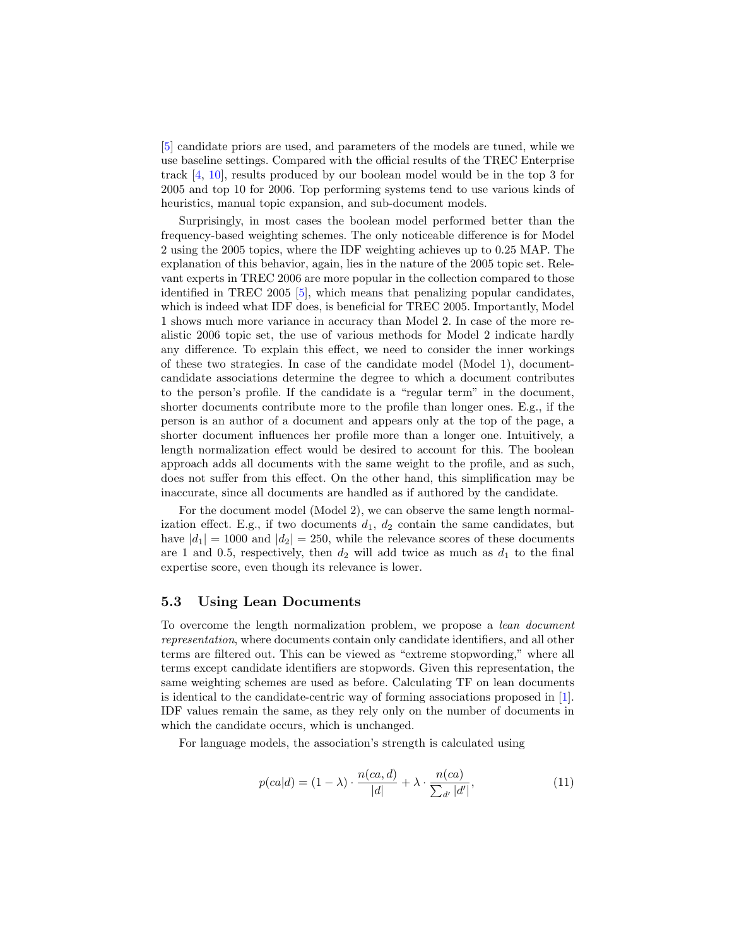[\[5\]](#page-11-4) candidate priors are used, and parameters of the models are tuned, while we use baseline settings. Compared with the official results of the TREC Enterprise track [\[4,](#page-11-0) [10\]](#page-11-1), results produced by our boolean model would be in the top 3 for 2005 and top 10 for 2006. Top performing systems tend to use various kinds of heuristics, manual topic expansion, and sub-document models.

Surprisingly, in most cases the boolean model performed better than the frequency-based weighting schemes. The only noticeable difference is for Model 2 using the 2005 topics, where the IDF weighting achieves up to 0.25 MAP. The explanation of this behavior, again, lies in the nature of the 2005 topic set. Relevant experts in TREC 2006 are more popular in the collection compared to those identified in TREC 2005 [\[5\]](#page-11-4), which means that penalizing popular candidates, which is indeed what IDF does, is beneficial for TREC 2005. Importantly, Model 1 shows much more variance in accuracy than Model 2. In case of the more realistic 2006 topic set, the use of various methods for Model 2 indicate hardly any difference. To explain this effect, we need to consider the inner workings of these two strategies. In case of the candidate model (Model 1), documentcandidate associations determine the degree to which a document contributes to the person's profile. If the candidate is a "regular term" in the document, shorter documents contribute more to the profile than longer ones. E.g., if the person is an author of a document and appears only at the top of the page, a shorter document influences her profile more than a longer one. Intuitively, a length normalization effect would be desired to account for this. The boolean approach adds all documents with the same weight to the profile, and as such, does not suffer from this effect. On the other hand, this simplification may be inaccurate, since all documents are handled as if authored by the candidate.

For the document model (Model 2), we can observe the same length normalization effect. E.g., if two documents  $d_1$ ,  $d_2$  contain the same candidates, but have  $|d_1| = 1000$  and  $|d_2| = 250$ , while the relevance scores of these documents are 1 and 0.5, respectively, then  $d_2$  will add twice as much as  $d_1$  to the final expertise score, even though its relevance is lower.

#### <span id="page-8-0"></span>5.3 Using Lean Documents

To overcome the length normalization problem, we propose a lean document representation, where documents contain only candidate identifiers, and all other terms are filtered out. This can be viewed as "extreme stopwording," where all terms except candidate identifiers are stopwords. Given this representation, the same weighting schemes are used as before. Calculating TF on lean documents is identical to the candidate-centric way of forming associations proposed in [\[1\]](#page-11-3). IDF values remain the same, as they rely only on the number of documents in which the candidate occurs, which is unchanged.

For language models, the association's strength is calculated using

$$
p(ca|d) = (1 - \lambda) \cdot \frac{n(ca, d)}{|d|} + \lambda \cdot \frac{n(ca)}{\sum_{d'} |d'|},\tag{11}
$$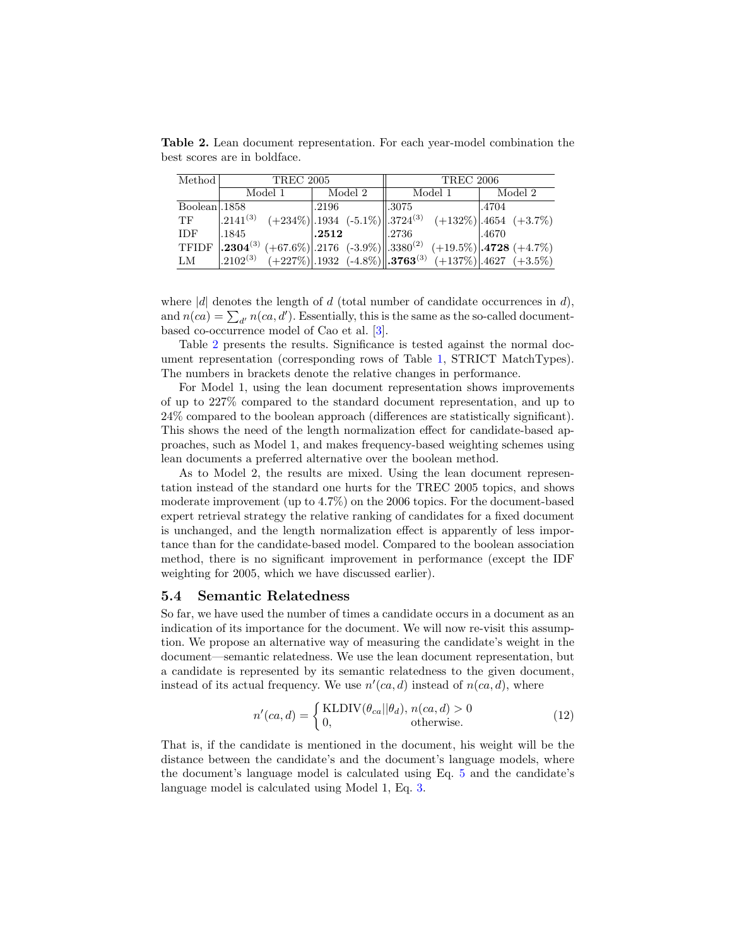<span id="page-9-0"></span>Table 2. Lean document representation. For each year-model combination the best scores are in boldface.

| Method       | <b>TREC 2005</b> |         | <b>TREC 2006</b>                                                                                                                              |         |  |  |  |
|--------------|------------------|---------|-----------------------------------------------------------------------------------------------------------------------------------------------|---------|--|--|--|
|              | Model 1          | Model 2 | Model 1                                                                                                                                       | Model 2 |  |  |  |
| Boolean 1858 |                  | .2196   | $\parallel$ .3075                                                                                                                             | 1.4704  |  |  |  |
| <b>TF</b>    |                  |         | $\left  .2141^{(3)} \quad (+234\%) \right  .1934 \quad (-5.1\%) \nonumber \\ \left\  .3724^{(3)} \quad (+132\%) \right  .4654 \quad (+3.7\%)$ |         |  |  |  |
| IDF.         | .1845            | .2512   | $\parallel$ .2736                                                                                                                             | .4670   |  |  |  |
| <b>TFIDF</b> |                  |         | $\left  .2304^{(3)} \ (+67.6\%) \right  2176 \ (-3.9\%) \right  0.3380^{(2)} \ (+19.5\%) \cdot 4728 \ (+4.7\%)$                               |         |  |  |  |
| LM           |                  |         | $\left  .2102^{(3)} \right $ (+227%) $\left  .1932 \right $ (-4.8%) $\left  .3763^{(3)} \right $ (+137%) $\left  .4627 \right $ (+3.5%)       |         |  |  |  |

where |d| denotes the length of d (total number of candidate occurrences in d), and  $n(ca) = \sum_{d'} n(ca, d')$ . Essentially, this is the same as the so-called documentbased co-occurrence model of Cao et al. [\[3\]](#page-11-10).

Table [2](#page-9-0) presents the results. Significance is tested against the normal document representation (corresponding rows of Table [1,](#page-7-0) STRICT MatchTypes). The numbers in brackets denote the relative changes in performance.

For Model 1, using the lean document representation shows improvements of up to 227% compared to the standard document representation, and up to 24% compared to the boolean approach (differences are statistically significant). This shows the need of the length normalization effect for candidate-based approaches, such as Model 1, and makes frequency-based weighting schemes using lean documents a preferred alternative over the boolean method.

As to Model 2, the results are mixed. Using the lean document representation instead of the standard one hurts for the TREC 2005 topics, and shows moderate improvement (up to 4.7%) on the 2006 topics. For the document-based expert retrieval strategy the relative ranking of candidates for a fixed document is unchanged, and the length normalization effect is apparently of less importance than for the candidate-based model. Compared to the boolean association method, there is no significant improvement in performance (except the IDF weighting for 2005, which we have discussed earlier).

#### 5.4 Semantic Relatedness

So far, we have used the number of times a candidate occurs in a document as an indication of its importance for the document. We will now re-visit this assumption. We propose an alternative way of measuring the candidate's weight in the document—semantic relatedness. We use the lean document representation, but a candidate is represented by its semantic relatedness to the given document, instead of its actual frequency. We use  $n'(ca, d)$  instead of  $n(ca, d)$ , where

$$
n'(ca, d) = \begin{cases} \text{KLDIV}(\theta_{ca} || \theta_d), n(ca, d) > 0\\ 0, \qquad \text{otherwise.} \end{cases}
$$
(12)

That is, if the candidate is mentioned in the document, his weight will be the distance between the candidate's and the document's language models, where the document's language model is calculated using Eq. [5](#page-3-0) and the candidate's language model is calculated using Model 1, Eq. [3.](#page-3-1)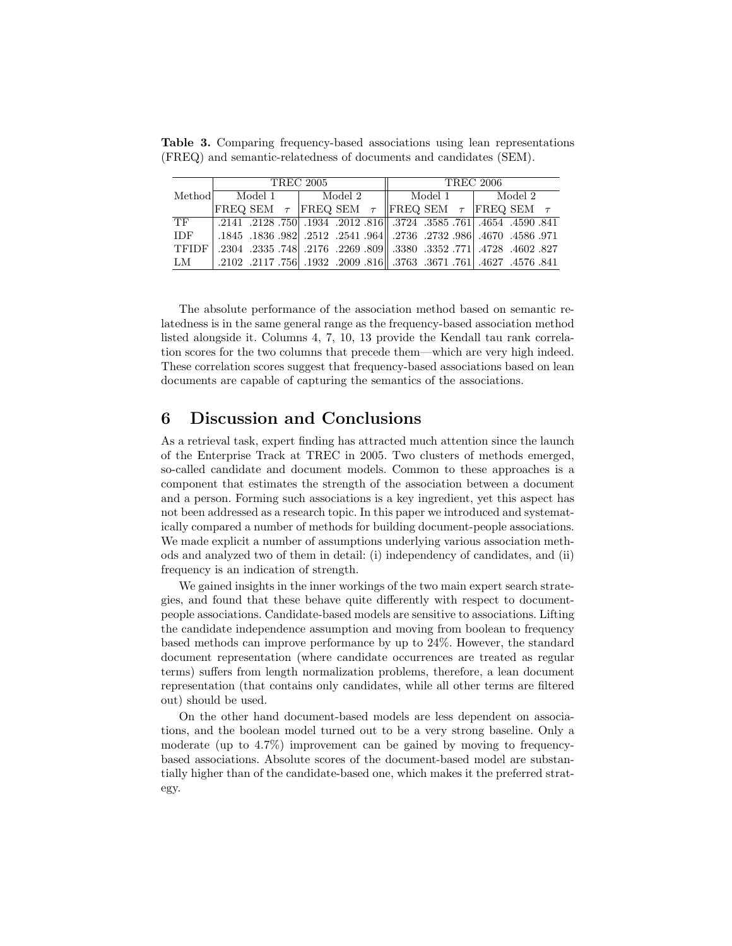|            | <b>TREC 2005</b> |  |  |           |  |  | <b>TREC 2006</b>                                                           |  |  |  |  |  |
|------------|------------------|--|--|-----------|--|--|----------------------------------------------------------------------------|--|--|--|--|--|
| Method     | Model 1          |  |  | l Model 2 |  |  | Model 1   Model 2                                                          |  |  |  |  |  |
|            |                  |  |  |           |  |  | FREQ SEM $\tau$ FREQ SEM $\tau$ FREQ SEM $\tau$ FREQ SEM $\tau$            |  |  |  |  |  |
| TF         |                  |  |  |           |  |  | .2141 .2128 .750 .1934 .2012 .816 .3724 .3585 .761 .4654 .4590 .841        |  |  |  |  |  |
| <b>IDF</b> |                  |  |  |           |  |  | .1845 .1836 .982 .2512 .2541 .964 .2736 .2732 .986 .4670 .1845 .1845.      |  |  |  |  |  |
| TFIDF      |                  |  |  |           |  |  | .2304 .2352 .771 .4728 .4602 .827                                          |  |  |  |  |  |
| LM         |                  |  |  |           |  |  | .2102 .3761. 761 .4627 .4576 .841 .3763 .3763 .3763 .2009 .2117 .756 .917. |  |  |  |  |  |

Table 3. Comparing frequency-based associations using lean representations (FREQ) and semantic-relatedness of documents and candidates (SEM).

The absolute performance of the association method based on semantic relatedness is in the same general range as the frequency-based association method listed alongside it. Columns 4, 7, 10, 13 provide the Kendall tau rank correlation scores for the two columns that precede them—which are very high indeed. These correlation scores suggest that frequency-based associations based on lean documents are capable of capturing the semantics of the associations.

# <span id="page-10-0"></span>6 Discussion and Conclusions

As a retrieval task, expert finding has attracted much attention since the launch of the Enterprise Track at TREC in 2005. Two clusters of methods emerged, so-called candidate and document models. Common to these approaches is a component that estimates the strength of the association between a document and a person. Forming such associations is a key ingredient, yet this aspect has not been addressed as a research topic. In this paper we introduced and systematically compared a number of methods for building document-people associations. We made explicit a number of assumptions underlying various association methods and analyzed two of them in detail: (i) independency of candidates, and (ii) frequency is an indication of strength.

We gained insights in the inner workings of the two main expert search strategies, and found that these behave quite differently with respect to documentpeople associations. Candidate-based models are sensitive to associations. Lifting the candidate independence assumption and moving from boolean to frequency based methods can improve performance by up to 24%. However, the standard document representation (where candidate occurrences are treated as regular terms) suffers from length normalization problems, therefore, a lean document representation (that contains only candidates, while all other terms are filtered out) should be used.

On the other hand document-based models are less dependent on associations, and the boolean model turned out to be a very strong baseline. Only a moderate (up to 4.7%) improvement can be gained by moving to frequencybased associations. Absolute scores of the document-based model are substantially higher than of the candidate-based one, which makes it the preferred strategy.